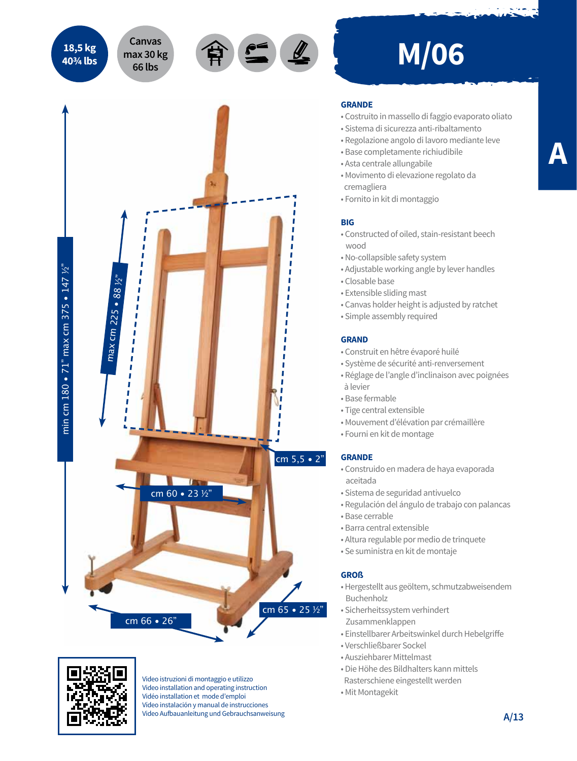**18,5 kg 40¾ lbs**

**max 30 kg 66 lbs**



# **Canvas** <br>nax 30 kg 全鱼 M/06

#### **GRANDE**

- Costruito in massello di faggio evaporato oliato
- Sistema di sicurezza anti-ribaltamento
- Regolazione angolo di lavoro mediante leve
- Base completamente richiudibile
- Asta centrale allungabile
- Movimento di elevazione regolato da cremagliera
- Fornito in kit di montaggio

### **BIG**

- Constructed of oiled, stain-resistant beech wood
- No-collapsible safety system
- Adjustable working angle by lever handles
- Closable base
- Extensible sliding mast
- Canvas holder height is adjusted by ratchet
- Simple assembly required

#### **GRAND**

- Construit en hêtre évaporé huilé
- Système de sécurité anti-renversement
- Réglage de l'angle d'inclinaison avec poignées à levier
- Base fermable
- Tige central extensible
- Mouvement d'élévation par crémaillère
- Fourni en kit de montage

## **GRANDE**

- Construido en madera de haya evaporada aceitada
- Sistema de seguridad antivuelco
- Regulación del ángulo de trabajo con palancas
- Base cerrable
- Barra central extensible
- Altura regulable por medio de trinquete
- Se suministra en kit de montaje

#### **GROß**

cm 65 • 25 ½"

- Hergestellt aus geöltem, schmutzabweisendem Buchenholz
- Sicherheitssystem verhindert Zusammenklappen
- Einstellbarer Arbeitswinkel durch Hebelgriffe
- Verschließbarer Sockel
- Ausziehbarer Mittelmast
- Die Höhe des Bildhalters kann mittels
- Rasterschiene eingestellt werden
- Mit Montagekit



cm 66 • 26"

Video istruzioni di montaggio e utilizzo Video installation and operating instruction Vidéo installation et mode d'emploi Vídeo instalación y manual de instrucciones Video Aufbauanleitung und Gebrauchsanweisung